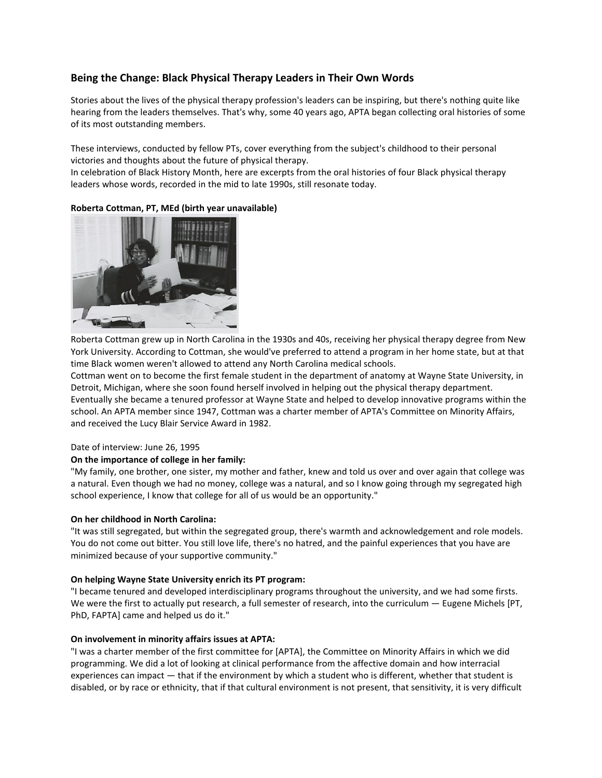# **Being the Change: Black Physical Therapy Leaders in Their Own Words**

Stories about the lives of the physical therapy profession's leaders can be inspiring, but there's nothing quite like hearing from the leaders themselves. That's why, some 40 years ago, APTA began collecting oral histories of some of its most outstanding members.

These interviews, conducted by fellow PTs, cover everything from the subject's childhood to their personal victories and thoughts about the future of physical therapy.

In celebration of Black History Month, here are excerpts from the oral histories of four Black physical therapy leaders whose words, recorded in the mid to late 1990s, still resonate today.



# **Roberta Cottman, PT, MEd (birth year unavailable)**

Roberta Cottman grew up in North Carolina in the 1930s and 40s, receiving her physical therapy degree from New York University. According to Cottman, she would've preferred to attend a program in her home state, but at that time Black women weren't allowed to attend any North Carolina medical schools.

Cottman went on to become the first female student in the department of anatomy at Wayne State University, in Detroit, Michigan, where she soon found herself involved in helping out the physical therapy department. Eventually she became a tenured professor at Wayne State and helped to develop innovative programs within the school. An APTA member since 1947, Cottman was a charter member of APTA's Committee on Minority Affairs, and received the Lucy Blair Service Award in 1982.

### Date of interview: June 26, 1995

# **On the importance of college in her family:**

"My family, one brother, one sister, my mother and father, knew and told us over and over again that college was a natural. Even though we had no money, college was a natural, and so I know going through my segregated high school experience, I know that college for all of us would be an opportunity."

# **On her childhood in North Carolina:**

"It was still segregated, but within the segregated group, there's warmth and acknowledgement and role models. You do not come out bitter. You still love life, there's no hatred, and the painful experiences that you have are minimized because of your supportive community."

### **On helping Wayne State University enrich its PT program:**

"I became tenured and developed interdisciplinary programs throughout the university, and we had some firsts. We were the first to actually put research, a full semester of research, into the curriculum — Eugene Michels [PT, PhD, FAPTA] came and helped us do it."

# **On involvement in minority affairs issues at APTA:**

"I was a charter member of the first committee for [APTA], the Committee on Minority Affairs in which we did programming. We did a lot of looking at clinical performance from the affective domain and how interracial experiences can impact — that if the environment by which a student who is different, whether that student is disabled, or by race or ethnicity, that if that cultural environment is not present, that sensitivity, it is very difficult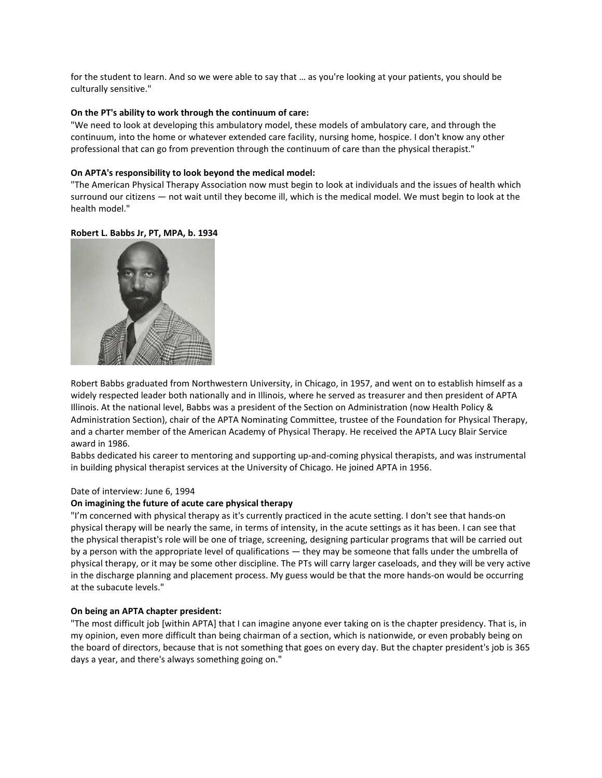for the student to learn. And so we were able to say that … as you're looking at your patients, you should be culturally sensitive."

### **On the PT's ability to work through the continuum of care:**

"We need to look at developing this ambulatory model, these models of ambulatory care, and through the continuum, into the home or whatever extended care facility, nursing home, hospice. I don't know any other professional that can go from prevention through the continuum of care than the physical therapist."

#### **On APTA's responsibility to look beyond the medical model:**

"The American Physical Therapy Association now must begin to look at individuals and the issues of health which surround our citizens — not wait until they become ill, which is the medical model. We must begin to look at the health model."

### **Robert L. Babbs Jr, PT, MPA, b. 1934**



Robert Babbs graduated from Northwestern University, in Chicago, in 1957, and went on to establish himself as a widely respected leader both nationally and in Illinois, where he served as treasurer and then president of APTA Illinois. At the national level, Babbs was a president of the Section on Administration (now Health Policy & Administration Section), chair of the APTA Nominating Committee, trustee of the Foundation for Physical Therapy, and a charter member of the American Academy of Physical Therapy. He received the APTA Lucy Blair Service award in 1986.

Babbs dedicated his career to mentoring and supporting up-and-coming physical therapists, and was instrumental in building physical therapist services at the University of Chicago. He joined APTA in 1956.

#### Date of interview: June 6, 1994

#### **On imagining the future of acute care physical therapy**

"I'm concerned with physical therapy as it's currently practiced in the acute setting. I don't see that hands-on physical therapy will be nearly the same, in terms of intensity, in the acute settings as it has been. I can see that the physical therapist's role will be one of triage, screening, designing particular programs that will be carried out by a person with the appropriate level of qualifications — they may be someone that falls under the umbrella of physical therapy, or it may be some other discipline. The PTs will carry larger caseloads, and they will be very active in the discharge planning and placement process. My guess would be that the more hands-on would be occurring at the subacute levels."

#### **On being an APTA chapter president:**

"The most difficult job [within APTA] that I can imagine anyone ever taking on is the chapter presidency. That is, in my opinion, even more difficult than being chairman of a section, which is nationwide, or even probably being on the board of directors, because that is not something that goes on every day. But the chapter president's job is 365 days a year, and there's always something going on."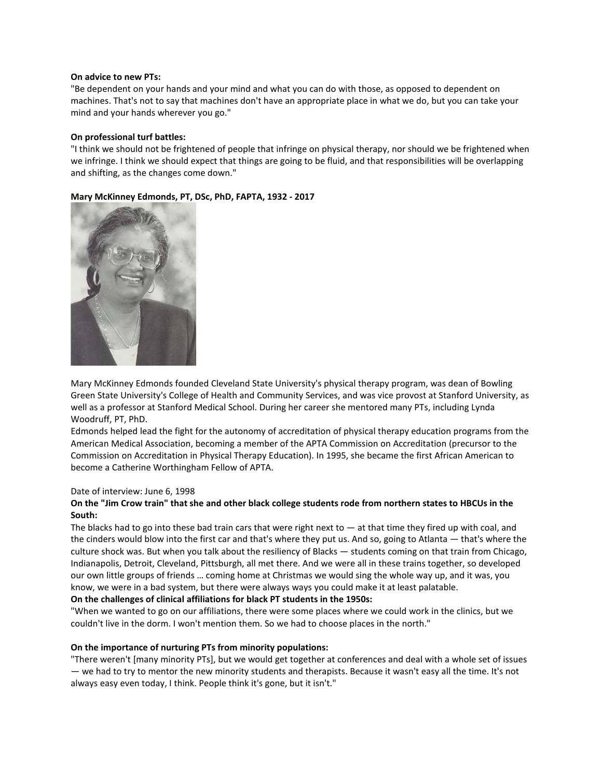#### **On advice to new PTs:**

"Be dependent on your hands and your mind and what you can do with those, as opposed to dependent on machines. That's not to say that machines don't have an appropriate place in what we do, but you can take your mind and your hands wherever you go."

### **On professional turf battles:**

"I think we should not be frightened of people that infringe on physical therapy, nor should we be frightened when we infringe. I think we should expect that things are going to be fluid, and that responsibilities will be overlapping and shifting, as the changes come down."





Mary McKinney Edmonds founded Cleveland State University's physical therapy program, was dean of Bowling Green State University's College of Health and Community Services, and was vice provost at Stanford University, as well as a professor at Stanford Medical School. During her career she mentored many PTs, including Lynda Woodruff, PT, PhD.

Edmonds helped lead the fight for the autonomy of accreditation of physical therapy education programs from the American Medical Association, becoming a member of the APTA Commission on Accreditation (precursor to the Commission on Accreditation in Physical Therapy Education). In 1995, she became the first African American to become a Catherine Worthingham Fellow of APTA.

### Date of interview: June 6, 1998

# **On the "Jim Crow train" that she and other black college students rode from northern states to HBCUs in the South:**

The blacks had to go into these bad train cars that were right next to  $-$  at that time they fired up with coal, and the cinders would blow into the first car and that's where they put us. And so, going to Atlanta — that's where the culture shock was. But when you talk about the resiliency of Blacks — students coming on that train from Chicago, Indianapolis, Detroit, Cleveland, Pittsburgh, all met there. And we were all in these trains together, so developed our own little groups of friends … coming home at Christmas we would sing the whole way up, and it was, you know, we were in a bad system, but there were always ways you could make it at least palatable.

### **On the challenges of clinical affiliations for black PT students in the 1950s:**

"When we wanted to go on our affiliations, there were some places where we could work in the clinics, but we couldn't live in the dorm. I won't mention them. So we had to choose places in the north."

### **On the importance of nurturing PTs from minority populations:**

"There weren't [many minority PTs], but we would get together at conferences and deal with a whole set of issues — we had to try to mentor the new minority students and therapists. Because it wasn't easy all the time. It's not always easy even today, I think. People think it's gone, but it isn't."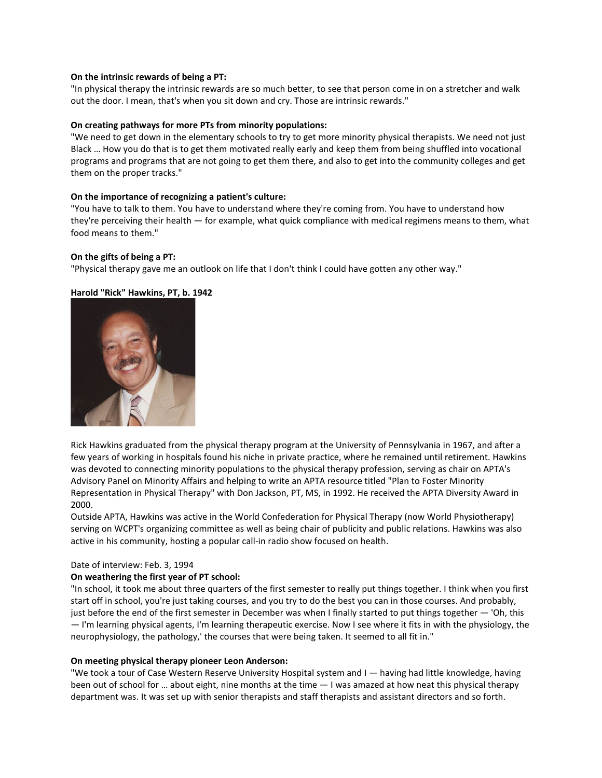### **On the intrinsic rewards of being a PT:**

"In physical therapy the intrinsic rewards are so much better, to see that person come in on a stretcher and walk out the door. I mean, that's when you sit down and cry. Those are intrinsic rewards."

#### **On creating pathways for more PTs from minority populations:**

"We need to get down in the elementary schools to try to get more minority physical therapists. We need not just Black … How you do that is to get them motivated really early and keep them from being shuffled into vocational programs and programs that are not going to get them there, and also to get into the community colleges and get them on the proper tracks."

#### **On the importance of recognizing a patient's culture:**

"You have to talk to them. You have to understand where they're coming from. You have to understand how they're perceiving their health — for example, what quick compliance with medical regimens means to them, what food means to them."

#### **On the gifts of being a PT:**

"Physical therapy gave me an outlook on life that I don't think I could have gotten any other way."

#### **Harold "Rick" Hawkins, PT, b. 1942**



Rick Hawkins graduated from the physical therapy program at the University of Pennsylvania in 1967, and after a few years of working in hospitals found his niche in private practice, where he remained until retirement. Hawkins was devoted to connecting minority populations to the physical therapy profession, serving as chair on APTA's Advisory Panel on Minority Affairs and helping to write an APTA resource titled "Plan to Foster Minority Representation in Physical Therapy" with Don Jackson, PT, MS, in 1992. He received the APTA Diversity Award in 2000.

Outside APTA, Hawkins was active in the World Confederation for Physical Therapy (now World Physiotherapy) serving on WCPT's organizing committee as well as being chair of publicity and public relations. Hawkins was also active in his community, hosting a popular call-in radio show focused on health.

#### Date of interview: Feb. 3, 1994

#### **On weathering the first year of PT school:**

"In school, it took me about three quarters of the first semester to really put things together. I think when you first start off in school, you're just taking courses, and you try to do the best you can in those courses. And probably, just before the end of the first semester in December was when I finally started to put things together — 'Oh, this — I'm learning physical agents, I'm learning therapeutic exercise. Now I see where it fits in with the physiology, the neurophysiology, the pathology,' the courses that were being taken. It seemed to all fit in."

#### **On meeting physical therapy pioneer Leon Anderson:**

"We took a tour of Case Western Reserve University Hospital system and I — having had little knowledge, having been out of school for … about eight, nine months at the time — I was amazed at how neat this physical therapy department was. It was set up with senior therapists and staff therapists and assistant directors and so forth.